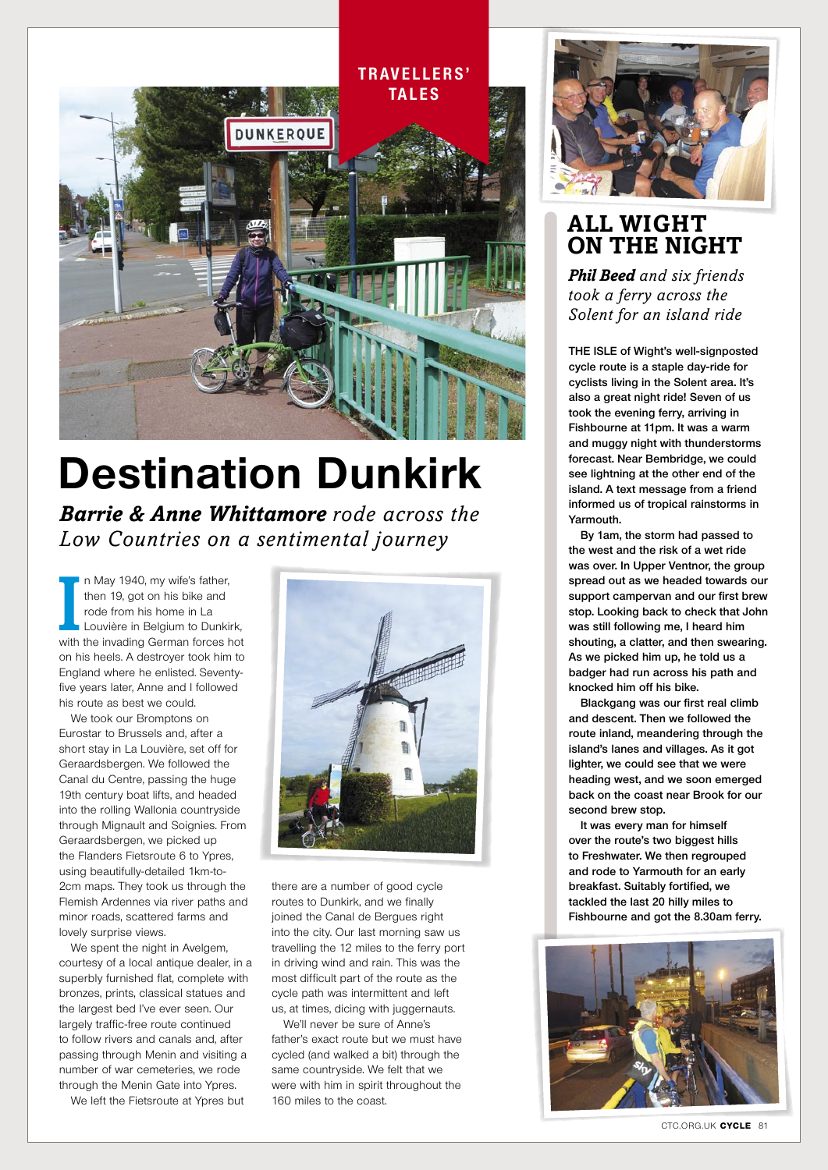

## **Destination Dunkirk**

*Barrie & Anne Whittamore rode across the Low Countries on a sentimental journey*

In May 1940, my wife's father,<br>then 19, got on his bike and<br>rode from his home in La<br>Louvière in Belgium to Dunkirk,<br>with the invading German forces hot n May 1940, my wife's father, then 19, got on his bike and rode from his home in La Louvière in Belgium to Dunkirk, on his heels. A destroyer took him to England where he enlisted. Seventyfive years later, Anne and I followed his route as best we could.

We took our Bromptons on Eurostar to Brussels and, after a short stay in La Louvière, set off for Geraardsbergen. We followed the Canal du Centre, passing the huge 19th century boat lifts, and headed into the rolling Wallonia countryside through Mignault and Soignies. From Geraardsbergen, we picked up the Flanders Fietsroute 6 to Ypres, using beautifully-detailed 1km-to-2cm maps. They took us through the Flemish Ardennes via river paths and minor roads, scattered farms and lovely surprise views.

We spent the night in Avelgem, courtesy of a local antique dealer, in a superbly furnished flat, complete with bronzes, prints, classical statues and the largest bed I've ever seen. Our largely traffic-free route continued to follow rivers and canals and, after passing through Menin and visiting a number of war cemeteries, we rode through the Menin Gate into Ypres.

We left the Fietsroute at Ypres but



there are a number of good cycle routes to Dunkirk, and we finally joined the Canal de Bergues right into the city. Our last morning saw us travelling the 12 miles to the ferry port in driving wind and rain. This was the most difficult part of the route as the cycle path was intermittent and left us, at times, dicing with juggernauts.

We'll never be sure of Anne's father's exact route but we must have cycled (and walked a bit) through the same countryside. We felt that we were with him in spirit throughout the 160 miles to the coast.



## **all Wight on the night**

*Phil Beed and six friends took a ferry across the Solent for an island ride*

**the isle of Wight's well-signposted cycle route is a staple day-ride for cyclists living in the Solent area. It's also a great night ride! Seven of us took the evening ferry, arriving in Fishbourne at 11pm. It was a warm and muggy night with thunderstorms forecast. Near Bembridge, we could see lightning at the other end of the island. A text message from a friend informed us of tropical rainstorms in Yarmouth.**

**By 1am, the storm had passed to the west and the risk of a wet ride was over. In Upper Ventnor, the group spread out as we headed towards our support campervan and our first brew stop. Looking back to check that John was still following me, I heard him shouting, a clatter, and then swearing. As we picked him up, he told us a badger had run across his path and knocked him off his bike.** 

**Blackgang was our first real climb and descent. Then we followed the route inland, meandering through the island's lanes and villages. As it got lighter, we could see that we were heading west, and we soon emerged back on the coast near Brook for our second brew stop.**

**It was every man for himself over the route's two biggest hills to Freshwater. We then regrouped and rode to Yarmouth for an early breakfast. Suitably fortified, we tackled the last 20 hilly miles to Fishbourne and got the 8.30am ferry.**



CTC.ORG.UK **cycle** 81